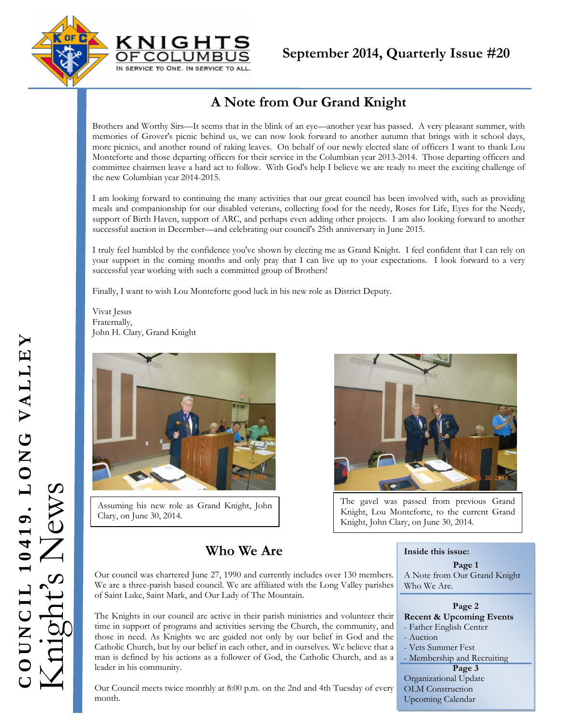



# **A Note from Our Grand Knight**

Brothers and Worthy Sirs—It seems that in the blink of an eye—another year has passed. A very pleasant summer, with memories of Grover's picnic behind us, we can now look forward to another autumn that brings with it school days, more picnics, and another round of raking leaves. On behalf of our newly elected slate of officers I want to thank Lou Monteforte and those departing officers for their service in the Columbian year 2013-2014. Those departing officers and committee chairmen leave a hard act to follow. With God's help I believe we are ready to meet the exciting challenge of the new Columbian year 2014-2015.

I am looking forward to continuing the many activities that our great council has been involved with, such as providing meals and companionship for our disabled veterans, collecting food for the needy, Roses for Life, Eyes for the Needy, support of Birth Haven, support of ARC, and perhaps even adding other projects. I am also looking forward to another successful auction in December—and celebrating our council's 25th anniversary in June 2015.

I truly feel humbled by the confidence you've shown by electing me as Grand Knight. I feel confident that I can rely on your support in the coming months and only pray that I can live up to your expectations. I look forward to a very successful year working with such a committed group of Brothers!

Finally, I want to wish Lou Monteforte good luck in his new role as District Deputy.

Vivat Jesus Fraternally, John H. Clary, Grand Knight



Assuming his new role as Grand Knight, John Clary, on June 30, 2014.

The gavel was passed from previous Grand Knight, Lou Monteforte, to the current Grand Knight, John Clary, on June 30, 2014.

# **Who We Are**

Our council was chartered June 27, 1990 and currently includes over 130 members. We are a three-parish based council. We are affiliated with the Long Valley parishes of Saint Luke, Saint Mark, and Our Lady of The Mountain.

The Knights in our council are active in their parish ministries and volunteer their time in support of programs and activities serving the Church, the community, and those in need. As Knights we are guided not only by our belief in God and the Catholic Church, but by our belief in each other, and in ourselves. We believe that a man is defined by his actions as a follower of God, the Catholic Church, and as a leader in his community.

Our Council meets twice monthly at 8:00 p.m. on the 2nd and 4th Tuesday of every month.

#### **Inside this issue:**

#### **Page 1**  A Note from Our Grand Knight Who We Are.

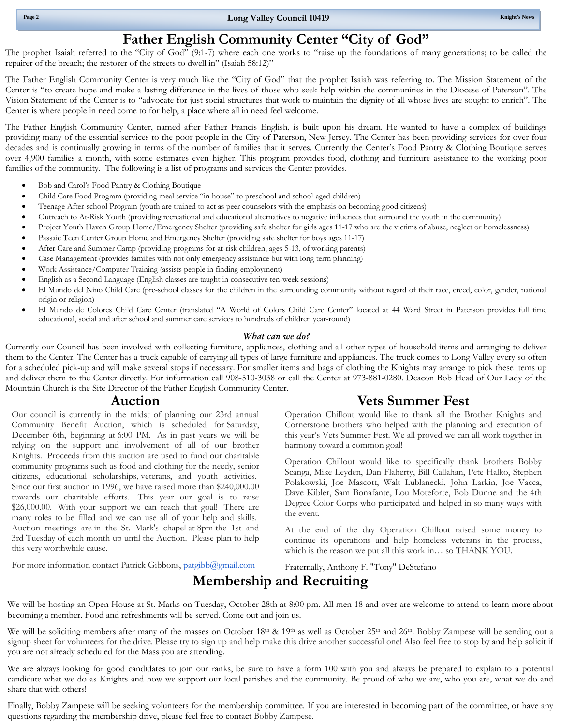## **Father English Community Center "City of God"**

The prophet Isaiah referred to the "City of God" (9:1-7) where each one works to "raise up the foundations of many generations; to be called the repairer of the breach; the restorer of the streets to dwell in" (Isaiah 58:12)"

 Center is "to create hope and make a lasting difference in the lives of those who seek help within the communities in the Diocese of Paterson". The The Father English Community Center is very much like the "City of God" that the prophet Isaiah was referring to. The Mission Statement of the Vision Statement of the Center is to "advocate for just social structures that work to maintain the dignity of all whose lives are sought to enrich". The Center is where people in need come to for help, a place where all in need feel welcome.

The Father English Community Center, named after Father Francis English, is built upon his dream. He wanted to have a complex of buildings providing many of the essential services to the poor people in the City of Paterson, New Jersey. The Center has been providing services for over four decades and is continually growing in terms of the number of families that it serves. Currently the Center's Food Pantry & Clothing Boutique serves over 4,900 families a month, with some estimates even higher. This program provides food, clothing and furniture assistance to the working poor families of the community. The following is a list of programs and services the Center provides.

- Bob and Carol's Food Pantry & Clothing Boutique
- Child Care Food Program (providing meal service "in house" to preschool and school-aged children)
- Teenage After-school Program (youth are trained to act as peer counselors with the emphasis on becoming good citizens)
- Outreach to At-Risk Youth (providing recreational and educational alternatives to negative influences that surround the youth in the community)
- Project Youth Haven Group Home/Emergency Shelter (providing safe shelter for girls ages 11-17 who are the victims of abuse, neglect or homelessness)
- Passaic Teen Center Group Home and Emergency Shelter (providing safe shelter for boys ages 11-17)
- After Care and Summer Camp (providing programs for at-risk children, ages 5-13, of working parents)
- Case Management (provides families with not only emergency assistance but with long term planning)
- Work Assistance/Computer Training (assists people in finding employment)
- English as a Second Language (English classes are taught in consecutive ten-week sessions)
- El Mundo del Nino Child Care (pre-school classes for the children in the surrounding community without regard of their race, creed, color, gender, national origin or religion)
- El Mundo de Colores Child Care Center (translated "A World of Colors Child Care Center" located at 44 Ward Street in Paterson provides full time educational, social and after school and summer care services to hundreds of children year-round)

#### *What can we do?*

Currently our Council has been involved with collecting furniture, appliances, clothing and all other types of household items and arranging to deliver them to the Center. The Center has a truck capable of carrying all types of large furniture and appliances. The truck comes to Long Valley every so often for a scheduled pick-up and will make several stops if necessary. For smaller items and bags of clothing the Knights may arrange to pick these items up and deliver them to the Center directly. For information call 908-510-3038 or call the Center at 973-881-0280. Deacon Bob Head of Our Lady of the Mountain Church is the Site Director of the Father English Community Center.

### **Auction**

 Our council is currently in the midst of planning our 23rd annual Community Benefit Auction, which is scheduled for Saturday, December 6th, beginning at 6:00 PM. As in past years we will be relying on the support and involvement of all of our brother Knights. Proceeds from this auction are used to fund our charitable community programs such as food and clothing for the needy, senior citizens, educational scholarships, veterans, and youth activities. Since our first auction in 1996, we have raised more than \$240,000.00 towards our charitable efforts. This year our goal is to raise \$26,000.00. With your support we can reach that goal! There are many roles to be filled and we can use all of your help and skills. Auction meetings are in the St. Mark's chapel at 8pm the 1st and 3rd Tuesday of each month up until the Auction. Please plan to help this very worthwhile cause.

# **Vets Summer Fest**

Operation Chillout would like to thank all the Brother Knights and Cornerstone brothers who helped with the planning and execution of this year's Vets Summer Fest. We all proved we can all work together in harmony toward a common goal!

Operation Chillout would like to specifically thank brothers Bobby Scanga, Mike Leyden, Dan Flaherty, Bill Callahan, Pete Halko, Stephen Polakowski, Joe Mascott, Walt Lublanecki, John Larkin, Joe Vacca, Dave Kibler, Sam Bonafante, Lou Moteforte, Bob Dunne and the 4th Degree Color Corps who participated and helped in so many ways with the event.

At the end of the day Operation Chillout raised some money to continue its operations and help homeless veterans in the process, which is the reason we put all this work in… so THANK YOU.

For more information contact Patrick Gibbons, patgibb@gmail.com

Fraternally, Anthony F. "Tony" DeStefano

# **Membership and Recruiting**

 We will be hosting an Open House at St. Marks on Tuesday, October 28th at 8:00 pm. All men 18 and over are welcome to attend to learn more about becoming a member. Food and refreshments will be served. Come out and join us.

We will be soliciting members after many of the masses on October  $18<sup>th</sup>$  &  $19<sup>th</sup>$  as well as October  $25<sup>th</sup>$  and  $26<sup>th</sup>$ . Bobby Zampese will be sending out a signup sheet for volunteers for the drive. Please try to sign up and help make this drive another successful one! Also feel free to stop by and help solicit if you are not already scheduled for the Mass you are attending.

We are always looking for good candidates to join our ranks, be sure to have a form 100 with you and always be prepared to explain to a potential candidate what we do as Knights and how we support our local parishes and the community. Be proud of who we are, who you are, what we do and share that with others!

Finally, Bobby Zampese will be seeking volunteers for the membership committee. If you are interested in becoming part of the committee, or have any questions regarding the membership drive, please feel free to contact Bobby Zampese.